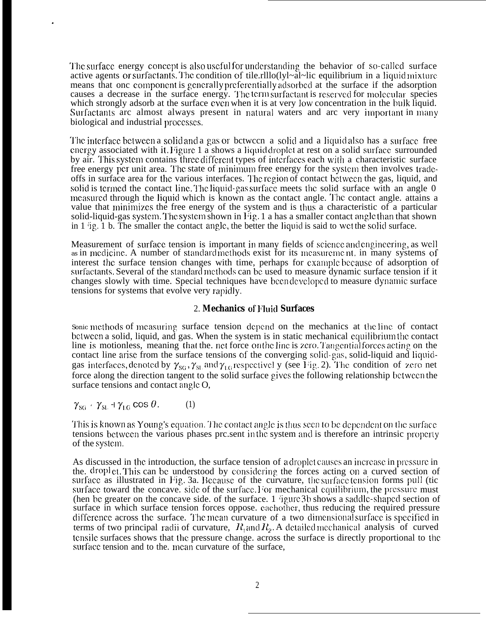The surface energy concept is also useful for understanding the behavior of so-called surface active agents or surfactants. The condition of tile.rlllo(lyl~al~lic equilibrium in a liquid mixture means that onc component is generally preferentially adsorbed at the surface if the adsorption causes a decrease in the surface energy. The term surfactant is reserved for molecular species which strongly adsorb at the surface even when it is at very low concentration in the bulk liquid. Surfactants arc almost always present in natural waters and arc very important in many biological and industrial proccsscs.

The interface between a solid and a gas or between a solid and a liquid also has a surface free energy associated with it, Figure 1 a shows a liquid droplet at rest on a solid surface surrounded by air. This system contains three different types of interfaces each with a characteristic surface free energy per unit area. The state of minimum free energy for the system then involves tradeoffs in surface area for the various interfaces. The region of contact between the gas, liquid, and solid is termed the contact line. The liquid-gas surface meets the solid surface with an angle  $0$ measured through the liquid which is known as the contact angle. The contact angle, attains a value that minimizes the free energy of the system and is thus a characteristic of a particular solid-liquid-gas system. The system shown in  $\overline{1}$  ig. 1 a has a smaller contact angle than that shown in  $1$  ig.  $1$  b. The smaller the contact angle, the better the liquid is said to wet the solid surface.

Measurement of surface tension is important in many fields of science and engineering, as well as in medicine. A number of standard methods exist for its measurement, in many systems of interest the surface tension changes with time, perhaps for example because of adsorption of surfactants. Several of the standard methods can be used to measure dynamic surface tension if it changes slowly with time. Special techniques have been developed to measure dynamic surface tensions for systems that evolve very rapidly.

## 2. **Mechanics of' Fluid Surfaces**

Sonic methods of measuring surface tension depend on the mechanics at the line of contact bctwccn a solid, liquid, and gas. When the system is in static mechanical cquilibriom the contact line is motionless, meaning that the. net force on the line is zero. Tangential forces acting on the contact line arise from the surface tensions of the converging solid-gas, solid-liquid and liquidgas interfaces, denoted by  $\gamma_{SG}$ ,  $\gamma_{SL}$  and  $\gamma_{LG}$  respectivel y (see I 'ig. 2). The condition of zero net force along the direction tangent to the solid surface gives the following relationship between the surface tensions and contact angle O,

$$
\gamma_{SG} + \gamma_{SL} + \gamma_{LG} \cos \theta. \tag{1}
$$

.

This is known as Young's equation. The contact angle is thus seen to be dependent on the surface tensions between the various phases prc.sent in the system and is therefore an intrinsic property of the Systcnl.

As discussed in the introduction, the surface tension of a droplet causes an increase in pressure in the. droplet. This can be understood by considering the forces acting on a curved section of surface as illustrated in Fig. 3a. Because of the curvature, the surface tension forms pull (tic surface toward the concave. side of the surface. For mechanical equilibrium, the pressure must (hen be greater on the concave side. of the surface. 1  $i$ gure 3b shows a saddle-shaped section of surface in which surface tension forces oppose, eachother, thus reducing the required pressure difference across the surface. The mean curvature of a two dimensional surface is specified in terms of two principal radii of curvature,  $R_1$  and  $R_2$ . A detailed mechanical analysis of curved tensile surfaces shows that the pressure change, across the surface is directly proportional to the surface tension and to the. mean curvature of the surface,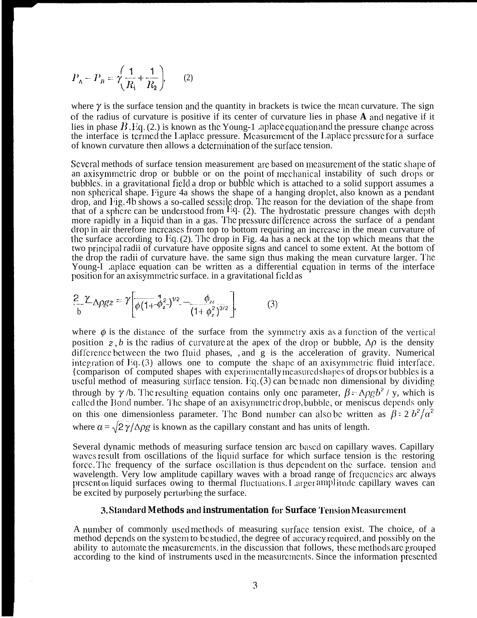$$
P_{\rm A} - P_{\rm B} = \gamma \left( \frac{1}{R_{\rm i}} + \frac{1}{R_{\rm 2}} \right), \qquad (2)
$$

where  $\gamma$  is the surface tension and the quantity in brackets is twice the mean curvature. The sign of the radius of curvature is positive if its center of curvature lies in phase **A ancl** negative if it lies in phase  $B$ . Eq. (2.) is known as the Young-1 aplace equation and the pressure change across the interface is termed the Laplace pressure. Measurement of the Laplace pressure for a surface of known curvature then allows a determination of the surface tension.

Several methods of surface tension measurement are based on measurement of the static shape of an axisymmetric drop or bubble or on the point of mechanical instability of such drops or bubbles, in a gravitational field a drop or bubble which is attached to a solid support assumes a non spherical shape. Figure 4a shows the shape of a hanging droplet, also known as a pendant drop, and Fig. 4b shows a so-called sessile drop. The reason for the deviation of the shape from that of a sphere can be understood from <sup>Eq.</sup> (2). The hydrostatic pressure changes with depth more rapidly in a liquid than in a gas. The pressure difference across the surface of a pendant drop in air therefore increases from top to bottom requiring an increase in the mean curvature of the surface according to Eq.  $(2)$ . The drop in Fig. 4a has a neck at the top which means that the two principal radii of curvature have opposite signs and cancel to some extent. At the bottom of the drop the radii of curvature have. the same sign thus making the mean curvature larger. The Young-I .aplace equation can be written as a differential equation in terms of the interface position for an axisymmetric surface. in a gravitational field as

$$
\frac{2}{b} \frac{\gamma}{\Delta \rho g z} = \gamma \left[ \frac{1}{\phi (1 + \phi_z^2)} v^2 - \frac{\phi_{zz}}{(1 + \phi_z^2)^{3/2}} \right].
$$
 (3)

where  $\phi$  is the distance of the surface from the symmetry axis as a function of the vertical position z, b is the radius of curvature at the apex of the drop or bubble,  $\Delta\rho$  is the density difference between the two fluid phases, , and  $g$  is the acceleration of gravity. Numerical integration of  $l$ <sup>i</sup>q. (3) allows one to compute the shape of an axisymmetric fluid interface. {comparison of computed shapes with experimentally measured shapes of drops or bubbles is a useful method of measuring surface tension. Eq.  $(3)$  can be made non dimensional by dividing through by  $\gamma$  /b. The resulting equation contains only one parameter,  $\beta = \Lambda \rho g b^2 / y$ , which is called the Bond number. The shape of an axisymmetric drop, bubble, or meniscus depends only on this one dimensionless parameter. The Bond number can also be written as  $\beta = 2 b^2/a^2$ where  $\alpha = \sqrt{2\gamma/\Delta\rho g}$  is known as the capillary constant and has units of length.

Several dynamic methods of measuring surface tension arc based on capillary waves. Capillary waves result from oscillations of the liquid surface for which surface tension is the restoring force. The frequency of the surface oscillation is thus dependent on the surface, tension and wavelength. Very low amplitude capillary waves with a broad range of frequencies arc always present on liquid surfaces owing to thermal fluctuations. Larger amplitude capillary waves can be excited by purposely perturbing the surface.

## **3. !%andarcl Methods and instrumentation for Surface '1'ension Mmsuremcnt**

A number of commonly used methods of measuring surface tension exist. The choice, of a method depends on the system to be studied, the degree of accuracy required, and possibly on the ability to automate the measurements. in the discussion that follows, these methods are grouped according to the kind of instruments used in the measurements. Since the information presented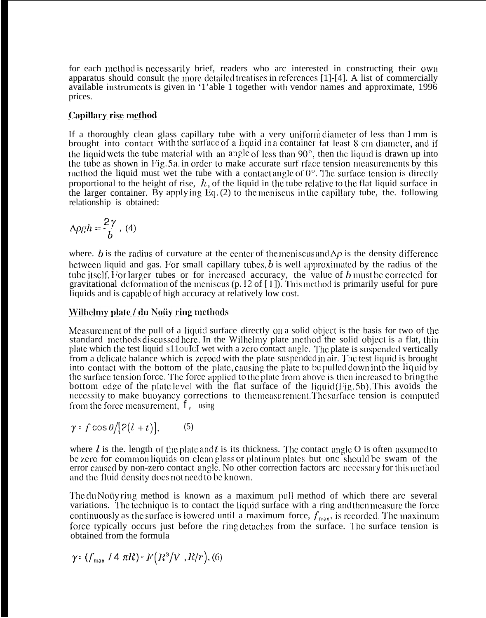for each method is nccessarily brief, readers who arc interested in constructing their own apparatus should consult the more detailed treatises in references [1]-[4]. A list of commercially available instruments is given in '1'able 1 together with vendor names and approximate, 1996 prices.

# **Capillary rise method**

If a thoroughly clean glass capillary tube with a very uniform diameter of less than 1 mm is brought into contact with the surface of a liquid in a container fat least 8 cm diameter, and if the liquid wets the tube material with an angle of less than  $90^\circ$ , then the liquid is drawn up into the tube as shown in Fig. 5a, in order to make accurate surf rface tension measurements by this method the liquid must wet the tube with a contact angle of  $0^\circ$ . The surface tension is directly proportional to the height of rise,  $h$ , of the liquid in the tube relative to the flat liquid surface in the larger container. By applying Eq.  $(2)$  to the meniscus in the capillary tube, the. following relationship is obtained:

$$
\Delta \rho gh = \frac{2\gamma}{b}, (4)
$$

where. b is the radius of curvature at the center of the meniscus and  $\Delta \rho$  is the density difference between liquid and gas. For small capillary tubes, b is well approximated by the radius of the tube itself. For larger tubes or for increased accuracy, the value of  $b$  must be corrected for gravitational deformation of the meniscus (p. 12 of  $[1]$ ). This method is primarily useful for pure liquids and is capable of high accuracy at relatively low cost.

# Wilhelmy plate / du Noüy ring methods

Measurement of the pull of a liquid surface directly on a solid object is the basis for two of the standard methods discussed here. In the Wilhelmy plate method the solid object is a flat, thin plate which the test liquid s11ouIcI wet with a zero contact angle. The plate is suspended vertically from a delicate balance which is zeroed with the plate suspended in air. The test liquid is brought into contact with the bottom of the plate, causing the plate to be pulled down into the liquid by the surface tension force. The force applied to the plate from above is then increased to bring the bottom edge of the plate level with the flat surface of the liquid  $(Fig. 5b)$ . This avoids the necessity to make buoyancy corrections to the measurement. The surface tension is computed from the force measurement, *f<sub>,</sub>* using

$$
\gamma: f\cos\theta/[2(l+t)], \qquad (5)
$$

where *l* is the. length of the plate and *t* is its thickness. The contact angle O is often assumed to be zero for common liquids on clean glass or platinum plates but onc should be swam of the error caused by non-zero contact angle. No other correction factors arc necessary for this method and the fluid density does not need to be known.

The du Notty ring method is known as a maximum pull method of which there arc several variations. The technique is to contact the liquid surface with a ring and then measure the force continuously as the surface is lowered until a maximum force,  $f_{\text{max}}$ , is recorded. The maximum force typically occurs just before the ring detaches from the surface. The surface tension is obtained from the formula

$$
\gamma \colon (f_{\max} / 4 \pi R) \cdot F(R^3/V, R/r), (6)
$$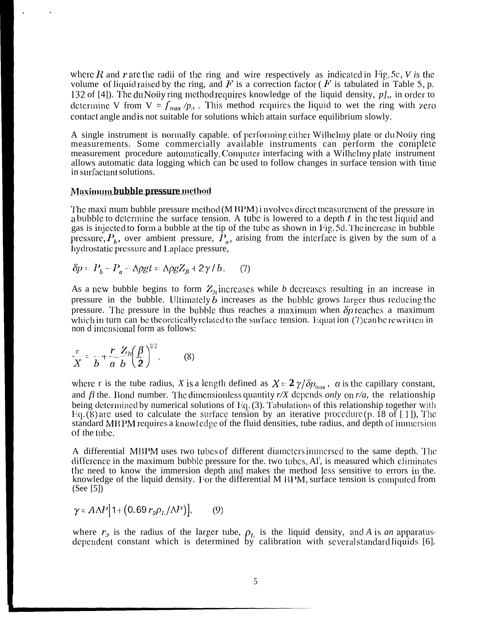where  $R$  and r are the radii of the ring and wire respectively as indicated in Fig. 5c,  $V$  is the volume of liquid raised by the ring, and F is a correction factor ( $\vec{F}$  is tabulated in Table 5, p. 132 of [4]). The du Notiy ring method requires knowledge of the liquid density, *p]*,, in order to determine V from  $V = f_{max}/p_{\rho}$ . This method requires the liquid to wet the ring with zero contact angle and is not suitable for solutions which attain surface equilibrium slowly.

A single instrument is normally capable. of performing either Wilhelmy plate or du Notiy ring measurements. Some commercially available instruments can perform the complete measurement procedure automatically. Computer interfacing with a Wilhelmy plate instrument allows automatic data logging which can bc used to follow changes in surface tension with time in surfactant solutions.

## **Maximum bubble pressure method**

The maxi mum bubble pressure method (M BPM) i nvolves direct measurement of the pressure in a bubble to determine the surface tension. A tube is lowered to a depth  $t$  in the test liquid and gas is injected to form a bubble at the tip of the tube as shown in Fig. 5d. The increase in bubble pressure,  $P_b$ , over ambient pressure,  $\hat{P}_a$ , arising from the interface is given by the sum of a hydrostatic pressure and Laplace pressure,

$$
\delta p = P_b - P_a - \Delta \rho g t = \Delta \rho g Z_B + 2\gamma / b. \tag{7}
$$

As a new bubble begins to form  $Z<sub>B</sub>$  increases while *b* decreases resulting in an increase in pressure in the bubble. Ultimately  $b$  increases as the bubble grows larger thus reducing the pressure. The pressure in the bubble thus reaches a maximum when  $\delta p$  reaches a maximum which in turn can be theoretically related to the surface tension.  $\Gamma$  quat ion (7) can be rewritten in non d imensional form as follows:

$$
\frac{r}{X} = \frac{r}{b} + \frac{r}{a} \frac{Z_n}{b} \left(\frac{\beta}{2}\right)^{1/2},
$$
 (8)

where r is the tube radius, *X* is a length defined as  $X = 2 \gamma / \delta p_{\text{max}}$ , *a* is the capillary constant, and  $\beta$  the. Bond number. The dimensionless quantity r/X depends *only* on r/a, the relationship being determined by numerical solutions of  $Hq.$  (3). Tabulations of this relationship together with Eq.  $(8)$  are used to calculate the surface tension by an iterative procedure (p. 18 of [1]), The standard MBPM requires a knowl edge of the fluid densities, tube radius, and depth of immersion of the tube.

A differential MBPM uses two tubes of different diameters immersed to the same depth. The difference in the maximum bubble pressure for the. two tubes,  $Al'$ , is measured which climinates the need to know the immersion depth and makes the method less sensitive to errors in the. knowledge of the liquid density. For the differential M  $BP^M$ , surface tension is computed from (See [5])

$$
\gamma = A\Delta P [1 + (0.69 r_2 \rho_L / \Delta P)], \qquad (9)
$$

where  $r_2$  is the radius of the larger tube,  $\rho_L$  is the liquid density, and A is an apparatus dependent constant which is determined by calibration with several standard liquids [6].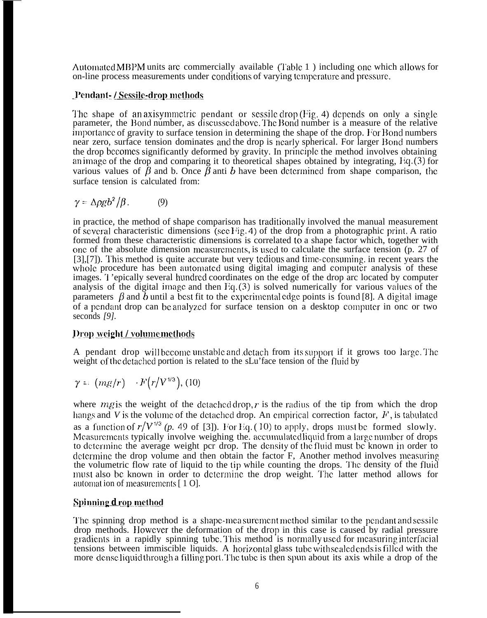Automated MBPM units are commercially available (Table 1) including one which allows for on-line process measurements under conditions of varying temperature and pressure.

# Pendant-/Sessile-drop methods

The shape of an axisymmetric pendant or sessile drop  $(Fig. 4)$  depends on only a single parameter, the Bond number, as discussed above. The Bond number is a measure of the relative importance of gravity to surface tension in determining the shape of the drop. For Bond numbers near zero, surface tension dominates and the drop is nearly spherical. For larger Bond numbers the drop becomes significantly deformed by gravity. In principle the method involves obtaining an image of the drop and comparing it 10 theoretical shapes obtained by integrating, Iiq, (3) for various values of  $\bar{\beta}$  and b. Once  $\bar{\beta}$  anti b have been determined from shape comparison, the surface tension is calculated from:

$$
\gamma = \Delta \rho g b^2 / \beta. \tag{9}
$$

in practice, the method of shape comparison has traditionally involved the manual measurement of several characteristic dimensions (see Fig. 4) of the drop from a photographic print. A ratio formed from these characteristic dimensions is correlated to a shape factor which, together with onc of the absolute dimension measurements, is used to calculate the surface tension (p. 27 of  $[3]$ , $[7]$ ). This method is quite accurate but very tedious and time-consuming, in recent years the whole procedure has been automated using digital imaging and computer analysis of these images. I 'epically several hundred coordinates on the edge of the drop arc located by computer analysis of the digital image and then  $Eq. (3)$  is solved numerically for various values of the parameters  $\beta$  and  $\overline{b}$  until a best fit to the experimental edge points is found [8]. A digital image of a pendant drop can be analyzed for surface tension on a desktop computer in onc or two seconds *[9].*

# *<u>Drop* weight / volume methods</u>

A pendant drop will become unstable and detach from its support if it grows too large. The weight of the detached portion is related to the sLu'face tension of the fluid by

$$
\gamma = (mg/r) \quad \cdot F(r/V^{\gamma/3}), \text{ (10)}
$$

where  $mg$  is the weight of the detached drop, r is the radius of the tip from which the drop hangs and *V* is the volume of the detached drop. An empirical correction factor,  $F$ , is tabulated as a function of  $r/V^{1/3}$  (p. 49 of [3]). For Eq. (10) to apply, drops must be formed slowly. Measurements typically involve weighing the. accumulated liquid from a large number of drops to determine the average weight pcr drop. The density of the fluid must be known in order to determine the drop volume and then obtain the factor  $F$ , Another method involves measuring the volumetric flow rate of liquid to the tip while counting the drops. The density of the fluid must also be known in order to determine the drop weight. The latter method allows for automat ion of measurements  $[1 0]$ .

# **Spinning d rop method**

The spinning drop method is a shape-measurement method similar to the pendant and sessile drop methods. However the deformation of the drop in this case is caused by radial pressure gradients in a rapidly spinning tube. This method is normally used for measuring interfacial tensions between immiscible liquids. A horizontal glass tube with sealed ends is filled with the more dense liquid through a filling port. The tube is then spun about its axis while a drop of the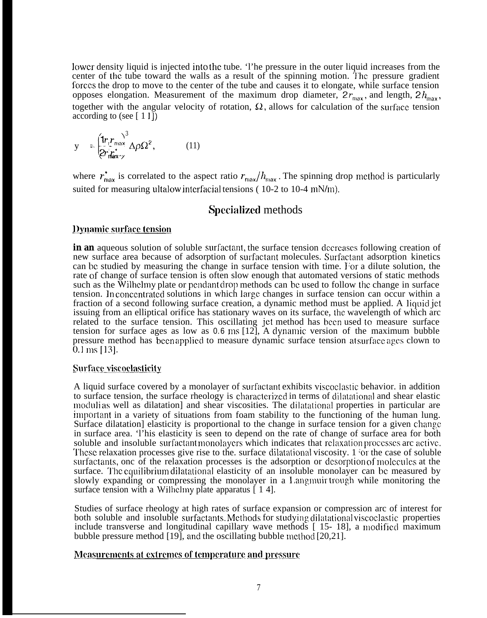lower density liquid is injected into the tube. 'l'he pressure in the outer liquid increases from the center of the tube toward the walls as a result of the spinning motion. The pressure gradient forces the drop to move to the center of the tube and causes it to elongate, while surface tension opposes elongation. Measurement of the maximum drop diameter,  $2r_{\text{max}}$ , and length,  $2h_{\text{max}}$ , together with the angular velocity of rotation,  $\Omega$ , allows for calculation of the surface tension according to (see  $[11]$ )

$$
y = \frac{\left(1r_{\ell}r_{\text{max}}\right)^3}{2r_{\text{max}}^2} \Delta \rho \Omega^2, \qquad (11)
$$

where  $r_{\text{max}}^*$  is correlated to the aspect ratio  $r_{\text{max}}/h_{\text{max}}$ . The spinning drop method is particularly suited for measuring ultalow interfacial tensions ( $10-2$  to  $10-4$  mN/m).

# Specialized methods

## Dynamic surface tension

in an aqueous solution of soluble surfactant, the surface tension decreases following creation of new surface area because of adsorption of surfactant molecules. Surfactant adsorption kinetics can be studied by measuring the change in surface tension with time. For a dilute solution, the rate of change of surface tension is often slow enough that automated versions of static methods such as the Wilhelmy plate or pendant drop methods can be used to follow the change in surface tension. In concentrated solutions in which large changes in surface tension can occur within a fraction of a second following surface creation, a dynamic method must be applied. A liquid jet issuing from an elliptical orifice has stationary waves on its surface, the wavelength of which arc related to the surface tension. This oscillating jet method has been used to measure surface tension for surface ages as low as **0.6** ms [12], A dynamic version of the maximum bubble pressure method has been applied to measure dynamic surface tension at surface ages clown to  $0.1 \,\mathrm{ms}$  [13].

## **Surface viscoclasticity**

A liquid surface covered by a monolayer of surfactant exhibits viscoclastic behavior. in addition to surface tension, the surface rheology is characterized in terms of dilatational and shear elastic modulias well as dilatation] and shear viscosities. The dilatational properties in particular are important in a variety of situations from foam stability to the functioning of the human lung. Surface dilatation] elasticity is proportional to the change in surface tension for a given change in surface area. 'l'his elasticity is seen to depend on the rate of change of surface area for both soluble and insoluble surfactant monolayers which indicates that relaxation processes arc active. These relaxation processes give rise to the. surface dilatational viscosity. 1 'or the case of soluble surfactants, onc of the relaxation processes is the adsorption or desorption of molecules at the surface. The equilibrium dilatational elasticity of an insoluble monolayer can be measured by slowly expanding or compressing the monolayer in a Langmuir trough while monitoring the surface tension with a Wilhelmy plate apparatus [14].

Studies of surface rheology at high rates of surface expansion or compression arc of interest for both soluble and insoluble surfactants. Methods for studying dilatational viscoclastic properties include transverse and longitudinal capillary wave methods [ 15- 18], a modificcl maximum bubble pressure method  $[19]$ , and the oscillating bubble method  $[20,21]$ .

# Measurements at extremes of temperature and pressure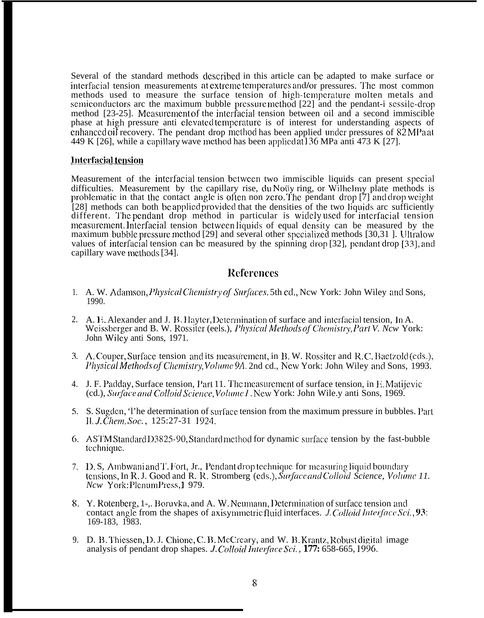Several of the standard methods described in this article can be adapted to make surface or interfacial tension measurements at extreme temperatures and/or pressures. The most common methods used to measure the surface tension of high-temperature molten metals and semiconductors arc the maximum bubble pressure method [22] and the pendant-i sessile-drop method [23-25]. Mcasurcmcnt of the intcrfacial tension between oil and a second immiscible phase at high pressure anti elevated temperature is of interest for understanding aspects of enhanced oil recovery. The pendant drop method has been applied under pressures of  $82 MPa$  at 449 K [26], while a capillary wave method has been applicd  $\tilde{\text{at}}$  136 MPa anti 473 K [27].

## **Interfacial tension**

Measurement of the intcrfacia] tension bctwccn two immiscible liquids can present spccia] difficulties. Measurement by the capillary rise, du Notiy ring, or Wilhelmy plate methods is problematic in that the contact angle is often non zero. The pendant drop  $[7]$  and drop weight [28] methods can both be applied provided that the densities of the two liquids arc sufficiently different. The pendant drop method in particular is widely used for interfacial tension measurement. Interfacial tension between liquids of equal density can be measured by the maximum bubble pressure method  $[29]$  and several other specialized methods  $[30,31]$ . Ultralow values of interfacial tension can be measured by the spinning drop  $[32]$ , pendant drop  $[33]$ , and capillary wave methods [34].

# **References**

- 1. A. W. Adamson, Physical Chemistry of Surfaces. 5th ed., New York: John Wiley and Sons, 1990.
- 2. A. E. Alexander and J. B. Hayter, Determination of surface and interfacial tension, In A. Weissberger and B. W. Rossiter (eels.), *Physical Methods of Chemistry, Part V. Ncw York:* John Wiley anti Sons, 1971.
- 3. A. Couper, Surface tension and its measurement, in B. W. Rossiter and R.C. Baetzold (eds.), *Physical Methods of Chemistry, Volume 9A, 2nd cd., New York: John Wiley and Sons, 1993.*
- 4. J. F. Padday, Surface tension, Part 11. The measurement of surface tension, in E. Matijevic (cd.), Surface and Colloid Science, Volume 1. New York: John Wile.y anti Sons, 1969.
- 5. S. Sugden, 'l'he determination of surface tension from the maximum pressure in bubbles. Part II. J. Čhem. Soc., 125:27-31 1924.
- 6. ASTM Standard D3825-90, Standard method for dynamic surface tension by the fast-bubble tcchniquc.
- 7. D.S, Ambwani and T. Fort, Jr., Pendant drop technique for measuring liquid boundary tensions, In R. J. Good and R. R. Stromberg (eds.), Surface and Colloid Science, Volume 11. *Ncw* York: Plenum Press, 1979.
- 8. Y. Rotenberg, 1-,. Boruvka, and A. W. Neumann, Determination of surface tension and contact angle from the shapes of axisymmetric fluid interfaces.  $J. Colloid Interface Sci., 93$ : 169-183, 1983.
- 9. D. B. Thiessen, D. J. Chione, C. B. McCreary, and W. B. Krantz, Robust digital image analysis of pendant drop shapes. J. Colloid Interface Sci., 177: 658-665, 1996.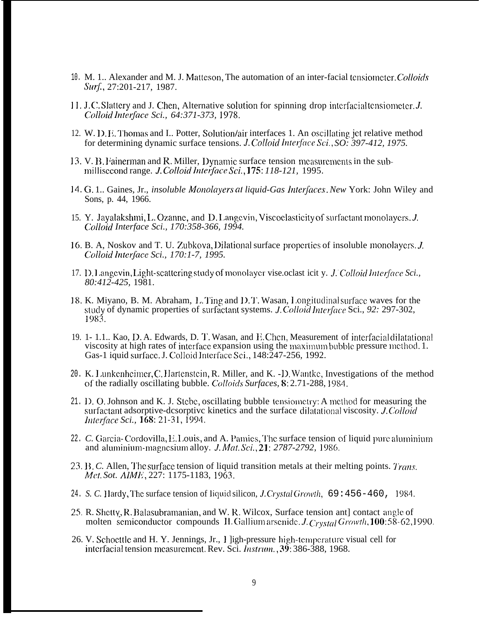- 10. M. 1.. Alexander and M. J. Matteson, The automation of an inter-facial tensiometer. Colloids Surf., 27:201-217, 1987.
- 11. J.C. Slattery and J. Chen, Alternative solution for spinning drop interfacial tensiometer. J. Colloid Interface Sci., 64:371-373, 1978.
- 12. W. D. E. Thomas and I. Potter, Solution/air interfaces 1. An oscillating jet relative method for determining dynamic surface tensions. J. Colloid Interface Sci., SO: 397-412, 1975.
- 13. V. B. Fainerman and R. Miller, Dynamic surface tension measurements in the submillisecond range. J. Colloid Interface Sci., 175: 118-121, 1995.
- 14. G. 1. Gaines, Jr., *insoluble Monolayers at liquid-Gas Interfaces. New York: John Wiley and* Sons, p. 44, 1966.
- 15. Y. Jayalakshmi, L. Ozanne, and D. Langevin, Viscoelasticity of surfactant monolayers. J. Colloid Interface Sci., 170:358-366, 1994.
- 16. B. A, Noskov and T. U. Zubkova, Dilational surface properties of insoluble monolayers. J. Colloid Interface Sci., 170:1-7, 1995.
- 17. D. Langevin, Light-scattering study of monolayer vise oclast icit y. J. Colloid Interface Sci., 80:412-425, 1981.
- 18. K. Miyano, B. M. Abraham, L. Ting and D. T. Wasan, Longitudinal surface waves for the study of dynamic properties of surfactant systems. J.Colloid Interface Sci., 92: 297-302, 1983.
- 19. 1- 1.1.. Kao, D. A. Edwards, D. T. Wasan, and F. Chen, Measurement of interfacial dilatational viscosity at high rates of interface expansion using the maximum bubble pressure method. 1. Gas-1 iquid surface. J. Colloid Interface Sci., 148:247-256, 1992.
- 20. K. Lunkenheimer, C. Hartenstein, R. Miller, and K. D. Wantke, Investigations of the method of the radially oscillating bubble. Colloids Surfaces, 8:2.71-288, 1984.
- 21. D. O. Johnson and K. J. Stebe, oscillating bubble tensiometry: A method for measuring the surfactant adsorptive-desorptive kinetics and the surface dilatational viscosity. J.Colloid *Interface Sci.*, **168**: 21-31, 1994.
- 22. C. Garcia-Cordovilla, E. Louis, and A. Pamies, The surface tension of liquid pure aluminium and aluminium-magnesium alloy. *J. Mat. Sci.*, 21: 2787-2792, 1986.
- 23. B. C. Allen, The surface tension of liquid transition metals at their melting points. Trans. Met. Sot. AIME, 227: 1175-1183, 1963.
- 24. S. C. Hardy, The surface tension of liquid silicon, J. Crystal Growth, 69:456-460, 1984.
- 25. R. Shetty, R. Balasubramanian, and W. R. Wilcox, Surface tension ant] contact angle of molten semiconductor compounds II. Gallium arsenide. J. Crystal Growth, 100:58-62, 1990.
- 26. V. Schoettle and H. Y. Jennings, Jr., I ligh-pressure high-temperature visual cell for interfacial tension measurement. Rev. Sci. *Instrum.*, 39: 386-388, 1968.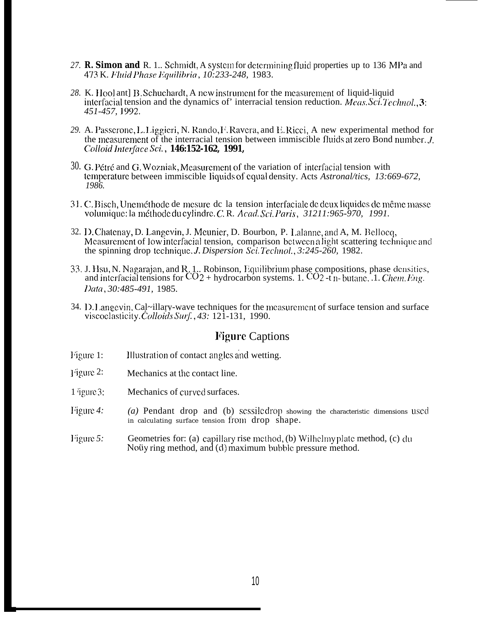- 27. R. Simon and R. 1.. Schmidt, A system for determining fluid properties up to 136 MPa and 473 K. Fluid Phase Equilibria, 10:233-248, 1983.
- 28. K. Hool ant] B. Schuchardt, A new instrument for the measurement of liquid-liquid interfacial tension and the dynamics of interracial tension reduction. *Meas, Sci. Technol.*, 3: 451-457, 1992.
- 29. A. Passerone, L. Liggieri, N. Rando, F. Ravera, and E. Ricci, A new experimental method for the measurement of the interracial tension between immiscible fluids at zero Bond number. J. Colloid Interface Sci., 146:152-162, 1991,
- 30. G. Pétré and G. Wozniak, Measurement of the variation of interfacial tension with temperature between immiscible liquids of equal density. Acts Astronal/tics, 13:669-672, 1986.
- 31. C. Bisch, Uneméthode de mesure de la tension interfaciale de deux liquides de même masse volumique: la méthode du cylindre. C. R. Acad. Sci. Paris, 31211:965-970, 1991.
- 32. D. Chatenay, D. Langevin, J. Meunier, D. Bourbon, P. Lalanne, and A, M. Bellocq, Measurement of low interfacial tension, comparison between a light scattering technique and the spinning drop technique. J. Dispersion Sci. Technol., 3:245-260, 1982.
- 33. J. Hsu, N. Nagarajan, and R. 1.. Robinson, Equilibrium phase compositions, phase densities, and interfacial tensions for  $CO_2$  + hydrocarbon systems. 1.  $CO_2$  -t n-butane. 1. *Chem. Eng.* Data, 30:485-491, 1985.
- 34. D. Langevin, Cal~illary-wave techniques for the measurement of surface tension and surface viscoclasticity. Colloids Surf., 43: 121-131, 1990.

# **Figure Captions**

- Figure 1: Illustration of contact angles and wetting.
- Figure 2: Mechanics at the contact line.
- $1$  igure  $3$ : Mechanics of curved surfaces.
- Figure  $4$ : (a) Pendant drop and (b) scssiledrop showing the characteristic dimensions used in calculating surface tension from drop shape.
- Figure  $5$ : Geometries for: (a) capillary rise method, (b) Wilhelmy plate method, (c) du Notiy ring method, and (d) maximum bubble pressure method.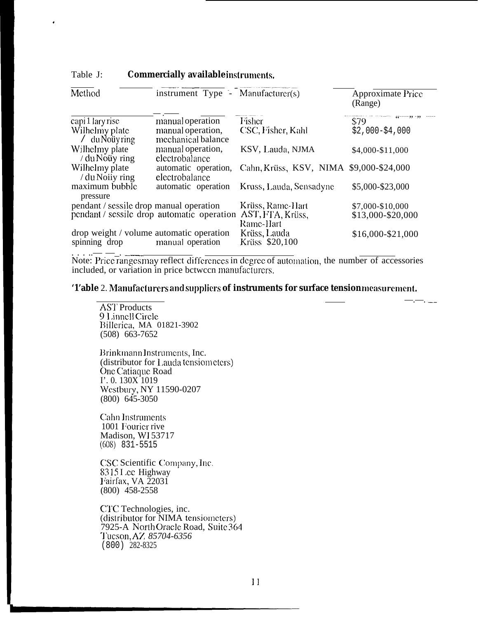| Method                                                    | instrument Type $\mathsf{I}$ Manufacturer(s) |                                         | Approximate Price<br>(Range) |
|-----------------------------------------------------------|----------------------------------------------|-----------------------------------------|------------------------------|
| capi 1 lary rise                                          | manual operation                             | Fisher                                  | \$79                         |
| Wilhelmy plate<br>$/$ du Noüy ring                        | manual operation,<br>mechanical balance      | CSC, Fisher, Kahl                       | $$2,000 - $4,000$            |
| Wilhelmy plate<br>/ du Noüy ring                          | manual operation,<br>electrobalance          | KSV, Lauda, NJMA                        | \$4,000-\$11,000             |
| Wilhelmy plate<br>/ du Noiiy ring                         | automatic operation,<br>electrobalance       | Cahn, Krüss, KSV, NIMA \$9,000-\$24,000 |                              |
| maximum bubble<br>pressure                                | automatic operation                          | Kruss, Lauda, Sensadyne                 | \$5,000-\$23,000             |
| pendant / sessile drop manual operation                   |                                              | Krüss, Rame-Hart                        | \$7,000-\$10,000             |
|                                                           | pendant / sessile drop automatic operation   | AST, FTA, Krüss,<br>Rame-Hart           | \$13,000-\$20,000            |
| drop weight / volume automatic operation<br>spinning drop | manual operation                             | Krüss, Lauda<br>Krüss \$20,100          | \$16,000-\$21,000            |

#### Table J: Commercially available instruments.

Note: Price ranges may reflect differences in degree of automation, the number of accessories included, or variation in price between manufacturers.

'1'able 2. Manufacturers and suppliers of instruments for surface tensionmeasurement.

 $-$ .  $-$ .  $-$  .

**AST** Products 9 Linnell Circle Billerica, MA 01821-3902<br>(508) 663-7652

Brinkmann Instruments, Inc. (distributor for Lauda tensiometers)<br>One Catiaque Road  $\Gamma$ . 0. 130X 1019 Westbury, NY 11590-0207  $(800)$  645-3050

**Cahn Instruments** 1001 Fourier rive Madison, WI 53717  $(608)$  831-5515

CSC Scientific Company, Inc. 8315 Lee Highway Fairfax, VA 22031<br>(800) 458-2558

CTC Technologies, inc. (distributor for NIMA tensiometers) 7925-A North Oracle Road, Suite 364 Tucson, AZ 85704-6356  $(800)$  282-8325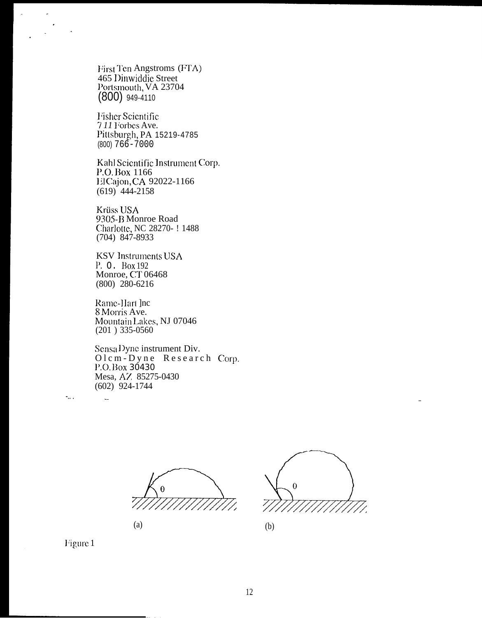First Ten Angstroms (FTA) 465 Dinwiddie Street Portsmouth, VA 23704  $(800)$  949-4110

**Fisher Scientific** 711 Forbes Ave. Pittsburgh, PA 15219-4785  $(800) 766 - 7000$ 

Kahl Scientific Instrument Corp. P.O. Box 1166 El Cajon, CA 92022-1166  $(619)$  444-2158

Krüss USA 9305-B Monroe Road Charlotte, NC 28270- ! 1488  $(704)$  847-8933

**KSV** Instruments USA P. O. Box 192 Monroe, CT 06468  $(800)$  280-6216

Rame-Hart Jnc 8 Morris Ave. Mountain Lakes, NJ 07046  $(201)$  335-0560

Sensa Dyne instrument Div. Olem-Dyne Research Corp. P.O.Box 30430 Mesa, AZ 85275-0430  $(602)$  924-1744





 $(b)$ 

Figure 1

 $\sim$  .

L.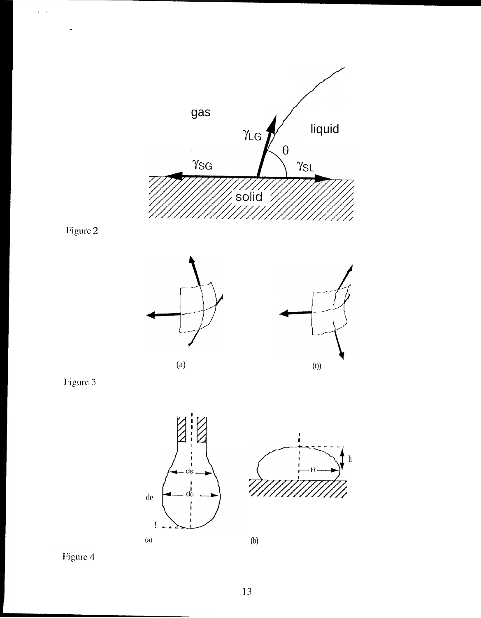



 $\sqrt{2}$ 

 $\ddot{\phantom{1}}$ 









Figure 4